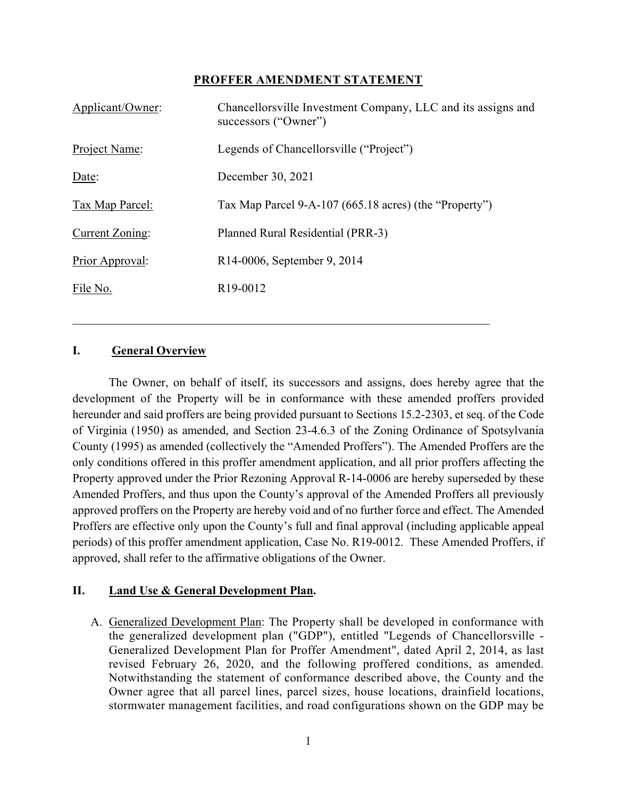#### **PROFFER AMENDMENT STATEMENT**

| Applicant/Owner: | Chancellorsville Investment Company, LLC and its assigns and<br>successors ("Owner") |
|------------------|--------------------------------------------------------------------------------------|
| Project Name:    | Legends of Chancellorsville ("Project")                                              |
| Date:            | December 30, 2021                                                                    |
| Tax Map Parcel:  | Tax Map Parcel 9-A-107 (665.18 acres) (the "Property")                               |
| Current Zoning:  | Planned Rural Residential (PRR-3)                                                    |
| Prior Approval:  | R14-0006, September 9, 2014                                                          |
| File No.         | R <sub>19</sub> -0012                                                                |

#### **I. General Overview**

The Owner, on behalf of itself, its successors and assigns, does hereby agree that the development of the Property will be in conformance with these amended proffers provided hereunder and said proffers are being provided pursuant to Sections 15.2-2303, et seq. of the Code of Virginia (1950) as amended, and Section 23-4.6.3 of the Zoning Ordinance of Spotsylvania County (1995) as amended (collectively the "Amended Proffers"). The Amended Proffers are the only conditions offered in this proffer amendment application, and all prior proffers affecting the Property approved under the Prior Rezoning Approval R-14-0006 are hereby superseded by these Amended Proffers, and thus upon the County's approval of the Amended Proffers all previously approved proffers on the Property are hereby void and of no further force and effect. The Amended Proffers are effective only upon the County's full and final approval (including applicable appeal periods) of this proffer amendment application, Case No. R19-0012. These Amended Proffers, if approved, shall refer to the affirmative obligations of the Owner.

#### **II. Land Use & General Development Plan.**

A. Generalized Development Plan: The Property shall be developed in conformance with the generalized development plan ("GDP"), entitled "Legends of Chancellorsville - Generalized Development Plan for Proffer Amendment", dated April 2, 2014, as last revised February 26, 2020, and the following proffered conditions, as amended. Notwithstanding the statement of conformance described above, the County and the Owner agree that all parcel lines, parcel sizes, house locations, drainfield locations, stormwater management facilities, and road configurations shown on the GDP may be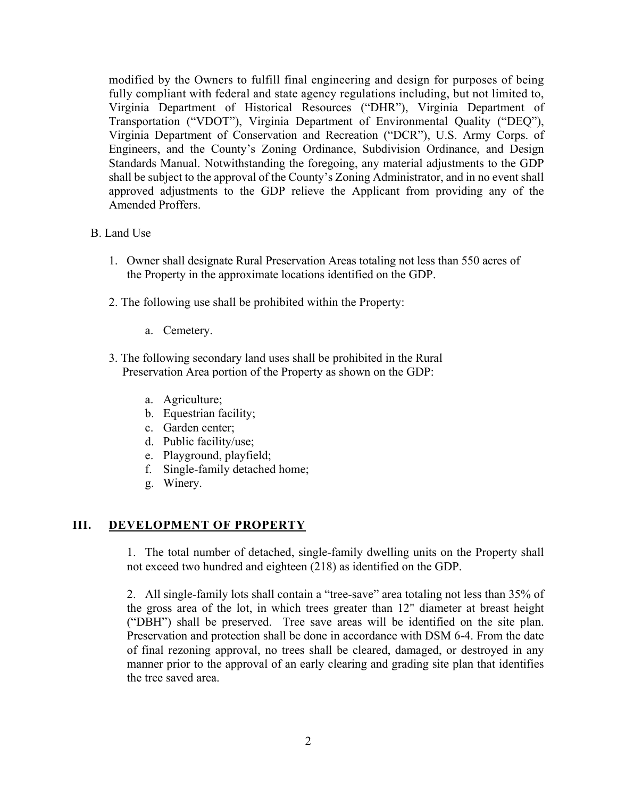modified by the Owners to fulfill final engineering and design for purposes of being fully compliant with federal and state agency regulations including, but not limited to, Virginia Department of Historical Resources ("DHR"), Virginia Department of Transportation ("VDOT"), Virginia Department of Environmental Quality ("DEQ"), Virginia Department of Conservation and Recreation ("DCR"), U.S. Army Corps. of Engineers, and the County's Zoning Ordinance, Subdivision Ordinance, and Design Standards Manual. Notwithstanding the foregoing, any material adjustments to the GDP shall be subject to the approval of the County's Zoning Administrator, and in no event shall approved adjustments to the GDP relieve the Applicant from providing any of the Amended Proffers.

#### B. Land Use

- 1. Owner shall designate Rural Preservation Areas totaling not less than 550 acres of the Property in the approximate locations identified on the GDP.
- 2. The following use shall be prohibited within the Property:
	- a. Cemetery.
- 3. The following secondary land uses shall be prohibited in the Rural Preservation Area portion of the Property as shown on the GDP:
	- a. Agriculture;
	- b. Equestrian facility;
	- c. Garden center;
	- d. Public facility/use;
	- e. Playground, playfield;
	- f. Single-family detached home;
	- g. Winery.

### **III. DEVELOPMENT OF PROPERTY**

1. The total number of detached, single-family dwelling units on the Property shall not exceed two hundred and eighteen (218) as identified on the GDP.

2. All single-family lots shall contain a "tree-save" area totaling not less than 35% of the gross area of the lot, in which trees greater than 12" diameter at breast height ("DBH") shall be preserved. Tree save areas will be identified on the site plan. Preservation and protection shall be done in accordance with DSM 6-4. From the date of final rezoning approval, no trees shall be cleared, damaged, or destroyed in any manner prior to the approval of an early clearing and grading site plan that identifies the tree saved area.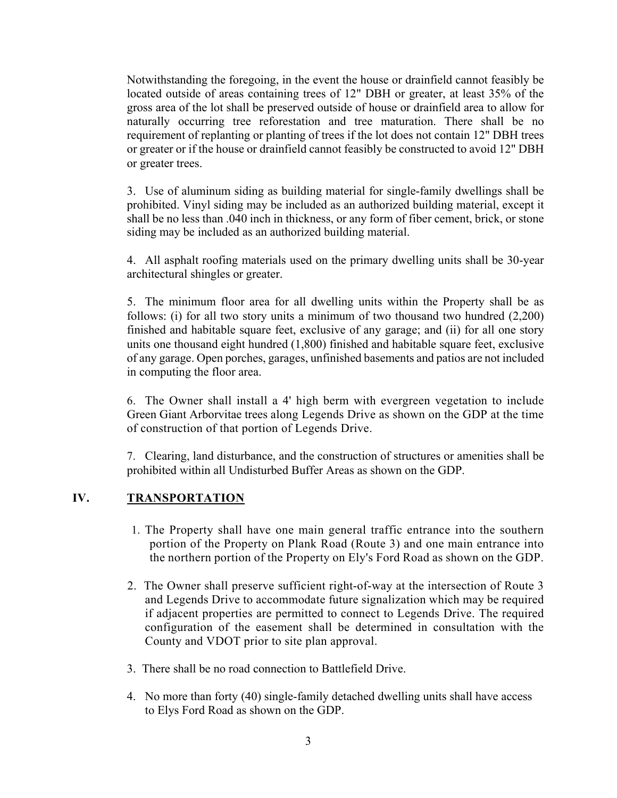Notwithstanding the foregoing, in the event the house or drainfield cannot feasibly be located outside of areas containing trees of 12" DBH or greater, at least 35% of the gross area of the lot shall be preserved outside of house or drainfield area to allow for naturally occurring tree reforestation and tree maturation. There shall be no requirement of replanting or planting of trees if the lot does not contain 12" DBH trees or greater or if the house or drainfield cannot feasibly be constructed to avoid 12" DBH or greater trees.

3. Use of aluminum siding as building material for single-family dwellings shall be prohibited. Vinyl siding may be included as an authorized building material, except it shall be no less than .040 inch in thickness, or any form of fiber cement, brick, or stone siding may be included as an authorized building material.

4. All asphalt roofing materials used on the primary dwelling units shall be 30-year architectural shingles or greater.

5. The minimum floor area for all dwelling units within the Property shall be as follows: (i) for all two story units a minimum of two thousand two hundred (2,200) finished and habitable square feet, exclusive of any garage; and (ii) for all one story units one thousand eight hundred (1,800) finished and habitable square feet, exclusive of any garage. Open porches, garages, unfinished basements and patios are not included in computing the floor area.

6. The Owner shall install a 4' high berm with evergreen vegetation to include Green Giant Arborvitae trees along Legends Drive as shown on the GDP at the time of construction of that portion of Legends Drive.

7. Clearing, land disturbance, and the construction of structures or amenities shall be prohibited within all Undisturbed Buffer Areas as shown on the GDP.

### **IV. TRANSPORTATION**

- 1. The Property shall have one main general traffic entrance into the southern portion of the Property on Plank Road (Route 3) and one main entrance into the northern portion of the Property on Ely's Ford Road as shown on the GDP.
- 2. The Owner shall preserve sufficient right-of-way at the intersection of Route 3 and Legends Drive to accommodate future signalization which may be required if adjacent properties are permitted to connect to Legends Drive. The required configuration of the easement shall be determined in consultation with the County and VDOT prior to site plan approval.
- 3. There shall be no road connection to Battlefield Drive.
- 4. No more than forty (40) single-family detached dwelling units shall have access to Elys Ford Road as shown on the GDP.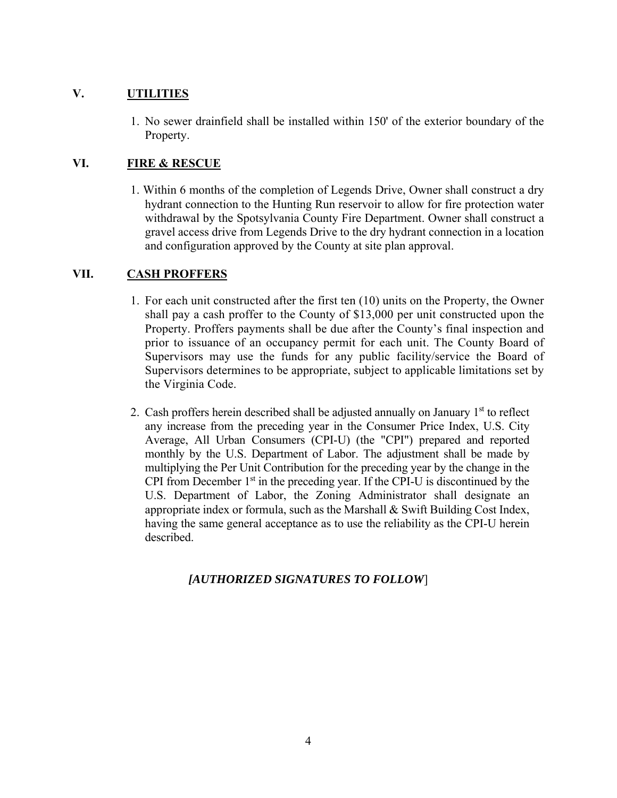## **V. UTILITIES**

1. No sewer drainfield shall be installed within 150' of the exterior boundary of the Property.

## **VI. FIRE & RESCUE**

1. Within 6 months of the completion of Legends Drive, Owner shall construct a dry hydrant connection to the Hunting Run reservoir to allow for fire protection water withdrawal by the Spotsylvania County Fire Department. Owner shall construct a gravel access drive from Legends Drive to the dry hydrant connection in a location and configuration approved by the County at site plan approval.

## **VII. CASH PROFFERS**

- 1. For each unit constructed after the first ten (10) units on the Property, the Owner shall pay a cash proffer to the County of \$13,000 per unit constructed upon the Property. Proffers payments shall be due after the County's final inspection and prior to issuance of an occupancy permit for each unit. The County Board of Supervisors may use the funds for any public facility/service the Board of Supervisors determines to be appropriate, subject to applicable limitations set by the Virginia Code.
- 2. Cash proffers herein described shall be adjusted annually on January  $1<sup>st</sup>$  to reflect any increase from the preceding year in the Consumer Price Index, U.S. City Average, All Urban Consumers (CPI-U) (the "CPI") prepared and reported monthly by the U.S. Department of Labor. The adjustment shall be made by multiplying the Per Unit Contribution for the preceding year by the change in the CPI from December  $1<sup>st</sup>$  in the preceding year. If the CPI-U is discontinued by the U.S. Department of Labor, the Zoning Administrator shall designate an appropriate index or formula, such as the Marshall & Swift Building Cost Index, having the same general acceptance as to use the reliability as the CPI-U herein described.

## *[AUTHORIZED SIGNATURES TO FOLLOW*]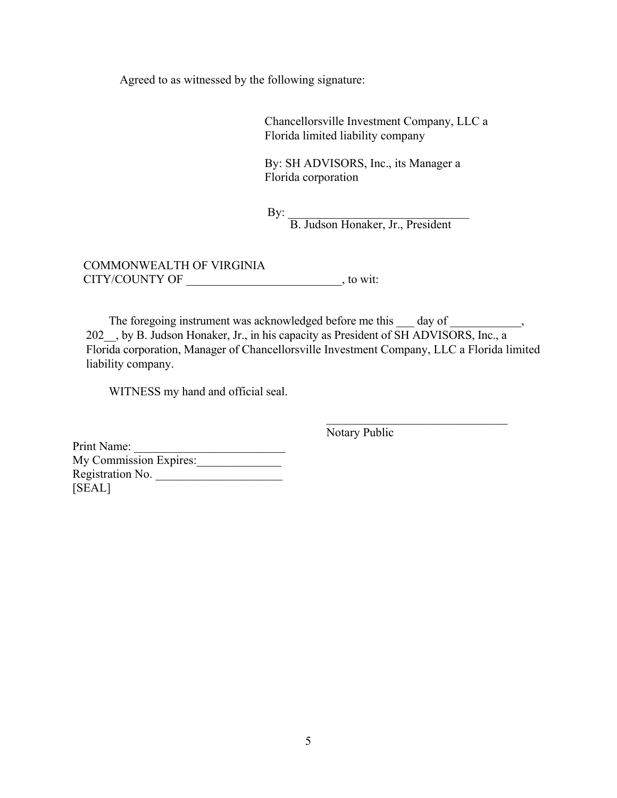Agreed to as witnessed by the following signature:

Chancellorsville Investment Company, LLC a Florida limited liability company

By: SH ADVISORS, Inc., its Manager a Florida corporation

 $\mathbf{By:}$ B. Judson Honaker, Jr., President

COMMONWEALTH OF VIRGINIA CITY/COUNTY OF \_\_\_\_\_\_\_\_\_\_\_\_\_\_\_\_\_\_\_\_\_\_\_\_\_\_, to wit:

The foregoing instrument was acknowledged before me this  $\_\_$  day of  $\_\_$ 202 , by B. Judson Honaker, Jr., in his capacity as President of SH ADVISORS, Inc., a Florida corporation, Manager of Chancellorsville Investment Company, LLC a Florida limited liability company.

WITNESS my hand and official seal.

Notary Public

Print Name: My Commission Expires: Registration No. [SEAL]